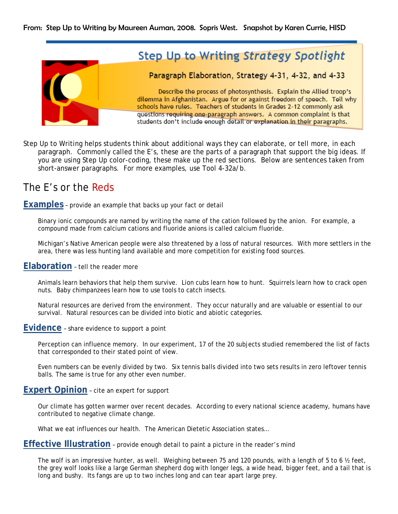From: Step Up to Writing by Maureen Auman, 2008. Sopris West. Snapshot by Karen Currie, HISD



Step Up to Writing helps students think about additional ways they can elaborate, or tell more, in each paragraph. Commonly called the E's, these are the parts of a paragraph that support the big ideas. If you are using Step Up color-coding, these make up the red sections. Below are sentences taken from short-answer paragraphs. For more examples, use Tool 4-32a/b.

# The E's or the Reds

**Examples** – provide an example that backs up your fact or detail

 Binary ionic compounds are named by writing the name of the cation followed by the anion. For example, a compound made from calcium cations and fluoride anions is called calcium fluoride.

 Michigan's Native American people were also threatened by a loss of natural resources. With more settlers in the area, there was less hunting land available and more competition for existing food sources.

# **Elaboration** – tell the reader more

 Animals learn behaviors that help them survive. Lion cubs learn how to hunt. Squirrels learn how to crack open nuts. Baby chimpanzees learn how to use tools to catch insects.

 Natural resources are derived from the environment. They occur naturally and are valuable or essential to our survival. Natural resources can be divided into biotic and abiotic categories.

**Evidence** – share evidence to support a point

 Perception can influence memory. In our experiment, 17 of the 20 subjects studied remembered the list of facts that corresponded to their stated point of view.

Even numbers can be evenly divided by two. Six tennis balls divided into two sets results in zero leftover tennis balls. The same is true for any other even number.

# **Expert Opinion** – cite an expert for support

 Our climate has gotten warmer over recent decades. According to every national science academy, humans have contributed to negative climate change.

What we eat influences our health. The American Dietetic Association states…

# **Effective Illustration** – provide enough detail to paint a picture in the reader's mind

The wolf is an impressive hunter, as well. Weighing between 75 and 120 pounds, with a length of 5 to 6  $\frac{1}{2}$  feet, the grey wolf looks like a large German shepherd dog with longer legs, a wide head, bigger feet, and a tail that is long and bushy. Its fangs are up to two inches long and can tear apart large prey.